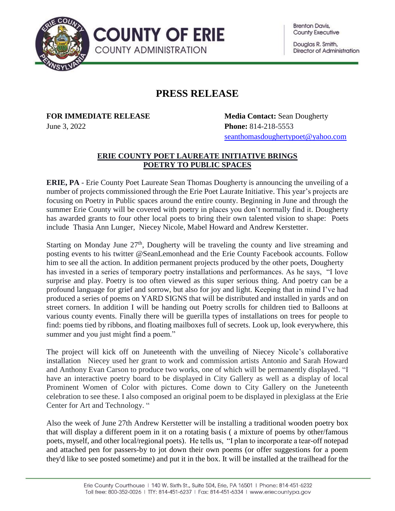**Brenton Davis, County Executive** 

Douglas R. Smith, Director of Administration



## **PRESS RELEASE**

**FOR IMMEDIATE RELEASE Media Contact:** Sean Dougherty June 3, 2022 **Phone:** 814-218-5553 [seanthomasdoughertypoet@yahoo.com](mailto:seanthomasdoughertypoet@yahoo.com)

## **ERIE COUNTY POET LAUREATE INITIATIVE BRINGS POETRY TO PUBLIC SPACES**

**ERIE, PA** - Erie County Poet Laureate Sean Thomas Dougherty is announcing the unveiling of a number of projects commissioned through the Erie Poet Laurate Initiative. This year's projects are focusing on Poetry in Public spaces around the entire county. Beginning in June and through the summer Erie County will be covered with poetry in places you don't normally find it. Dougherty has awarded grants to four other local poets to bring their own talented vision to shape: Poets include Thasia Ann Lunger, Niecey Nicole, Mabel Howard and Andrew Kerstetter.

Starting on Monday June 27<sup>th</sup>, Dougherty will be traveling the county and live streaming and posting events to his twitter @SeanLemonhead and the Erie County Facebook accounts. Follow him to see all the action. In addition permanent projects produced by the other poets, Dougherty has invested in a series of temporary poetry installations and performances. As he says, "I love surprise and play. Poetry is too often viewed as this super serious thing. And poetry can be a profound language for grief and sorrow, but also for joy and light. Keeping that in mind I've had produced a series of poems on YARD SIGNS that will be distributed and installed in yards and on street corners. In addition I will be handing out Poetry scrolls for children tied to Balloons at various county events. Finally there will be guerilla types of installations on trees for people to find: poems tied by ribbons, and floating mailboxes full of secrets. Look up, look everywhere, this summer and you just might find a poem."

The project will kick off on Juneteenth with the unveiling of Niecey Nicole's collaborative installation Niecey used her grant to work and commission artists Antonio and Sarah Howard and Anthony Evan Carson to produce two works, one of which will be permanently displayed. "I have an interactive poetry board to be displayed in City Gallery as well as a display of local Prominent Women of Color with pictures. Come down to City Gallery on the Juneteenth celebration to see these. I also composed an original poem to be displayed in plexiglass at the Erie Center for Art and Technology. "

Also the week of June 27th Andrew Kerstetter will be installing a traditional wooden poetry box that will display a different poem in it on a rotating basis ( a mixture of poems by other/famous poets, myself, and other local/regional poets). He tells us, "I plan to incorporate a tear-off notepad and attached pen for passers-by to jot down their own poems (or offer suggestions for a poem they'd like to see posted sometime) and put it in the box. It will be installed at the trailhead for the